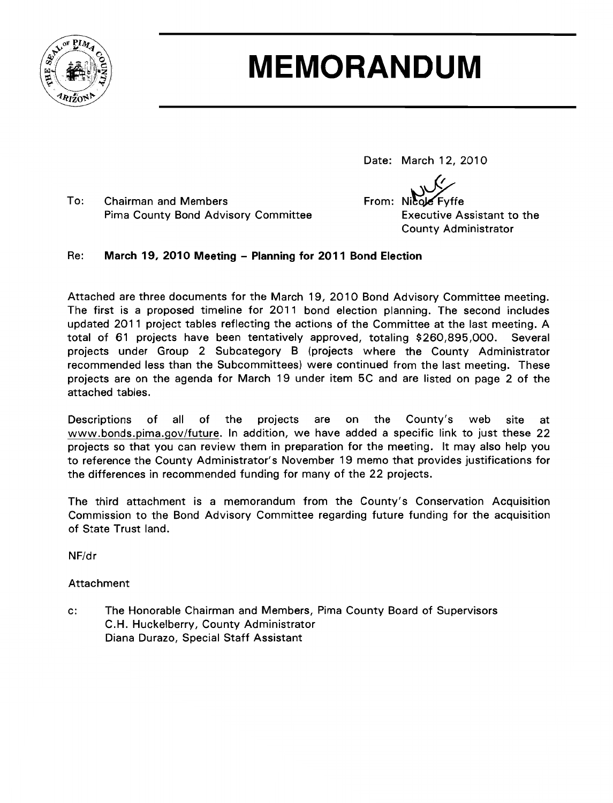

# **MEMORANDUM**

Date: March 12, 2010

To: **Chairman and Members Pima County Bond Advisory Committee** 

From: Ni **Executive Assistant to the County Administrator** 

#### March 19, 2010 Meeting - Planning for 2011 Bond Election Re:

Attached are three documents for the March 19, 2010 Bond Advisory Committee meeting. The first is a proposed timeline for 2011 bond election planning. The second includes updated 2011 project tables reflecting the actions of the Committee at the last meeting. A total of 61 projects have been tentatively approved, totaling \$260,895,000. Several projects under Group 2 Subcategory B (projects where the County Administrator recommended less than the Subcommittees) were continued from the last meeting. These projects are on the agenda for March 19 under item 5C and are listed on page 2 of the attached tables.

**Descriptions** of all of the projects are on the County's web site at www.bonds.pima.gov/future. In addition, we have added a specific link to just these 22 projects so that you can review them in preparation for the meeting. It may also help you to reference the County Administrator's November 19 memo that provides justifications for the differences in recommended funding for many of the 22 projects.

The third attachment is a memorandum from the County's Conservation Acquisition Commission to the Bond Advisory Committee regarding future funding for the acquisition of State Trust land.

NF/dr

Attachment

The Honorable Chairman and Members, Pima County Board of Supervisors  $c$ : C.H. Huckelberry, County Administrator Diana Durazo, Special Staff Assistant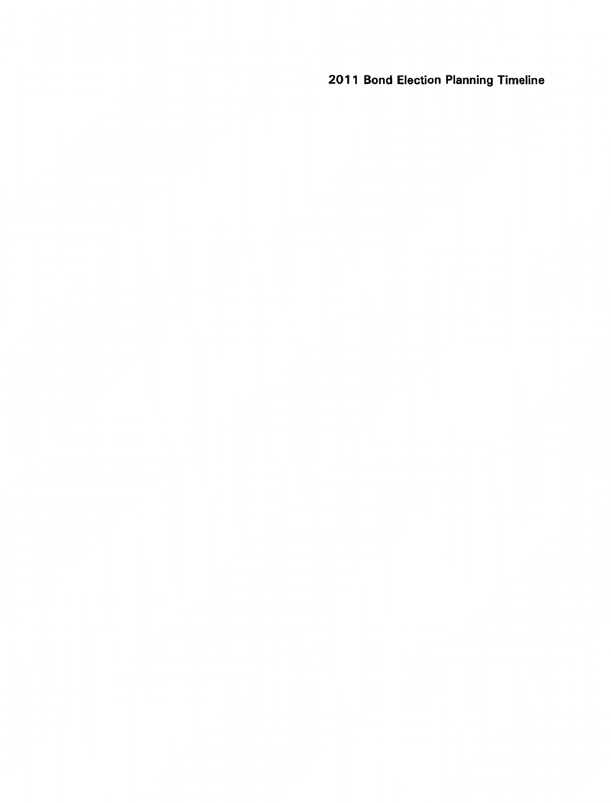2011 Bond Election Planning Timeline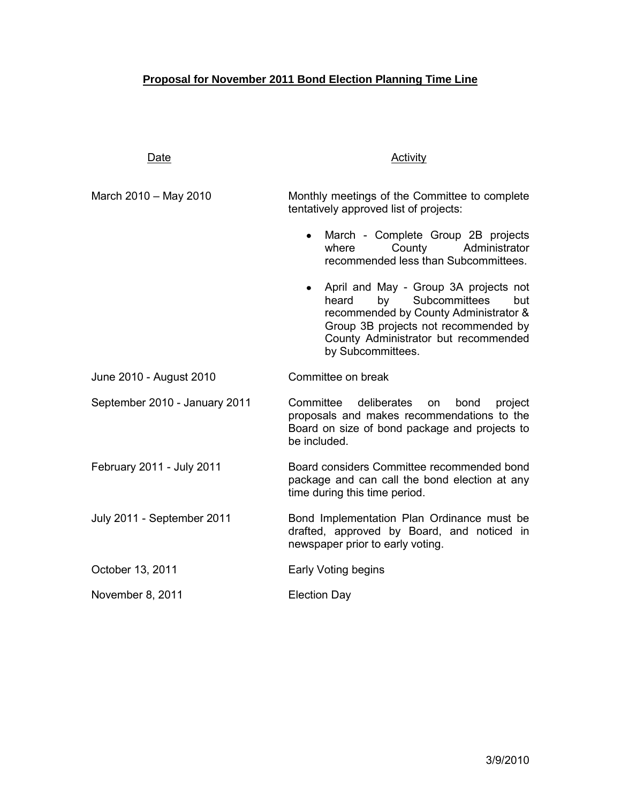### **Proposal for November 2011 Bond Election Planning Time Line**

#### Date Activity

| March 2010 - May 2010         | Monthly meetings of the Committee to complete<br>tentatively approved list of projects:                                                                                                                                    |  |  |  |  |
|-------------------------------|----------------------------------------------------------------------------------------------------------------------------------------------------------------------------------------------------------------------------|--|--|--|--|
|                               | March - Complete Group 2B projects<br>$\bullet$<br>County Administrator<br>where<br>recommended less than Subcommittees.                                                                                                   |  |  |  |  |
|                               | April and May - Group 3A projects not<br>Subcommittees<br>by<br>heard<br>but<br>recommended by County Administrator &<br>Group 3B projects not recommended by<br>County Administrator but recommended<br>by Subcommittees. |  |  |  |  |
| June 2010 - August 2010       | Committee on break                                                                                                                                                                                                         |  |  |  |  |
| September 2010 - January 2011 | Committee deliberates<br>bond<br>project<br>on<br>proposals and makes recommendations to the<br>Board on size of bond package and projects to<br>be included.                                                              |  |  |  |  |
| February 2011 - July 2011     | Board considers Committee recommended bond<br>package and can call the bond election at any<br>time during this time period.                                                                                               |  |  |  |  |
| July 2011 - September 2011    | Bond Implementation Plan Ordinance must be<br>drafted, approved by Board, and noticed in<br>newspaper prior to early voting.                                                                                               |  |  |  |  |
| October 13, 2011              | Early Voting begins                                                                                                                                                                                                        |  |  |  |  |
| November 8, 2011              | <b>Election Day</b>                                                                                                                                                                                                        |  |  |  |  |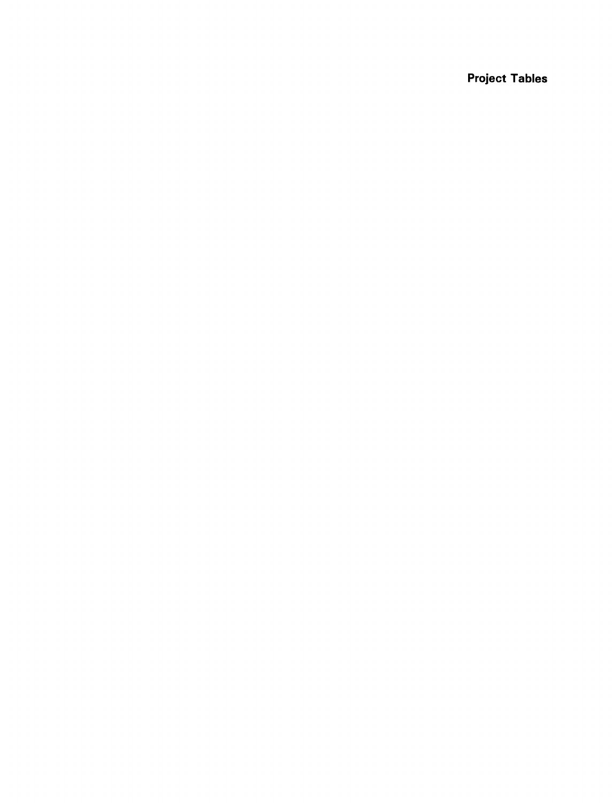**Project Tables**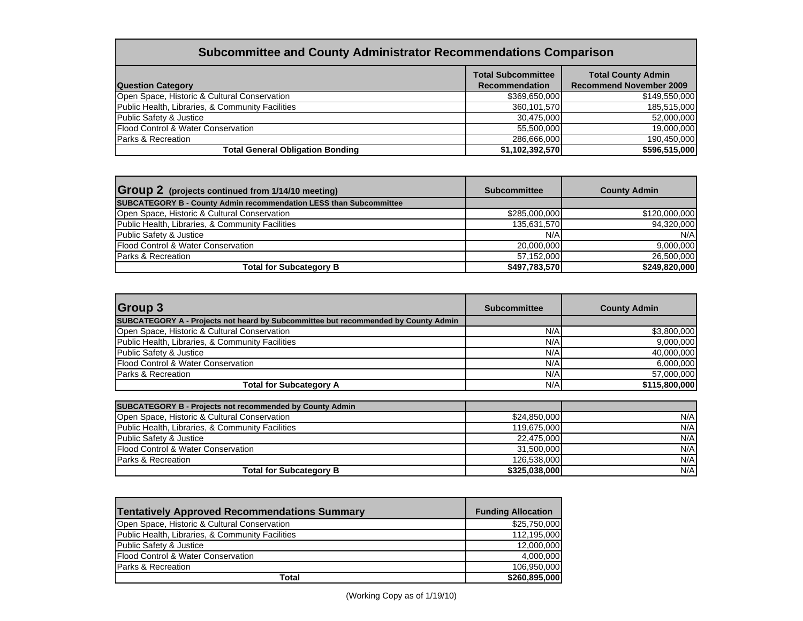### **Subcommittee and County Administrator Recommendations Comparison**

|                                                  | <b>Total Subcommittee</b> | <b>Total County Admin</b>      |
|--------------------------------------------------|---------------------------|--------------------------------|
| <b>Question Category</b>                         | <b>Recommendation</b>     | <b>Recommend November 2009</b> |
| Open Space, Historic & Cultural Conservation     | \$369,650,000             | \$149,550,000                  |
| Public Health, Libraries, & Community Facilities | 360.101.570               | 185.515.000                    |
| Public Safety & Justice                          | 30,475,000                | 52,000,000                     |
| <b>Flood Control &amp; Water Conservation</b>    | 55,500,000                | 19,000,000                     |
| <b>Parks &amp; Recreation</b>                    | 286,666,000               | 190,450,000                    |
| <b>Total General Obligation Bonding</b>          | \$1,102,392,570           | \$596,515,000                  |

| Group 2 (projects continued from 1/14/10 meeting)                         | <b>Subcommittee</b> | <b>County Admin</b> |
|---------------------------------------------------------------------------|---------------------|---------------------|
| <b>SUBCATEGORY B - County Admin recommendation LESS than Subcommittee</b> |                     |                     |
| Open Space, Historic & Cultural Conservation                              | \$285,000,000       | \$120,000,000       |
| Public Health, Libraries, & Community Facilities                          | 135,631,570         | 94,320,000          |
| Public Safety & Justice                                                   | N/A                 | N/A                 |
| Flood Control & Water Conservation                                        | 20,000,000          | 9,000,000           |
| <b>Parks &amp; Recreation</b>                                             | 57,152,000          | 26,500,000          |
| <b>Total for Subcategory B</b>                                            | \$497,783,570       | \$249,820,000       |

| <b>Group 3</b>                                                                     | <b>Subcommittee</b> | <b>County Admin</b> |  |
|------------------------------------------------------------------------------------|---------------------|---------------------|--|
| SUBCATEGORY A - Projects not heard by Subcommittee but recommended by County Admin |                     |                     |  |
| Open Space, Historic & Cultural Conservation                                       | N/A                 | \$3,800,000         |  |
| Public Health, Libraries, & Community Facilities                                   | N/A                 | 9,000,000           |  |
| Public Safety & Justice                                                            | N/A                 | 40,000,000          |  |
| <b>Flood Control &amp; Water Conservation</b>                                      | N/A                 | 6,000,000           |  |
| <b>Parks &amp; Recreation</b>                                                      | N/A                 | 57,000,000          |  |
| <b>Total for Subcategory A</b>                                                     | N/A                 | \$115,800,000       |  |

| <b>SUBCATEGORY B - Projects not recommended by County Admin</b> |               |     |
|-----------------------------------------------------------------|---------------|-----|
| Open Space, Historic & Cultural Conservation                    | \$24,850,000  | N/A |
| Public Health, Libraries, & Community Facilities                | 119.675.000   | N/A |
| Public Safety & Justice                                         | 22,475,000    | N/A |
| <b>Flood Control &amp; Water Conservation</b>                   | 31,500,000    | N/A |
| <b>Parks &amp; Recreation</b>                                   | 126,538,000   | N/A |
| <b>Total for Subcategory B</b>                                  | \$325,038,000 | N/A |

| <b>Tentatively Approved Recommendations Summary</b> | <b>Funding Allocation</b> |
|-----------------------------------------------------|---------------------------|
| Open Space, Historic & Cultural Conservation        | \$25,750,000              |
| Public Health, Libraries, & Community Facilities    | 112,195,000               |
| Public Safety & Justice                             | 12,000,000                |
| Flood Control & Water Conservation                  | 4,000,000                 |
| Parks & Recreation                                  | 106,950,000               |
| Total                                               | \$260,895,000             |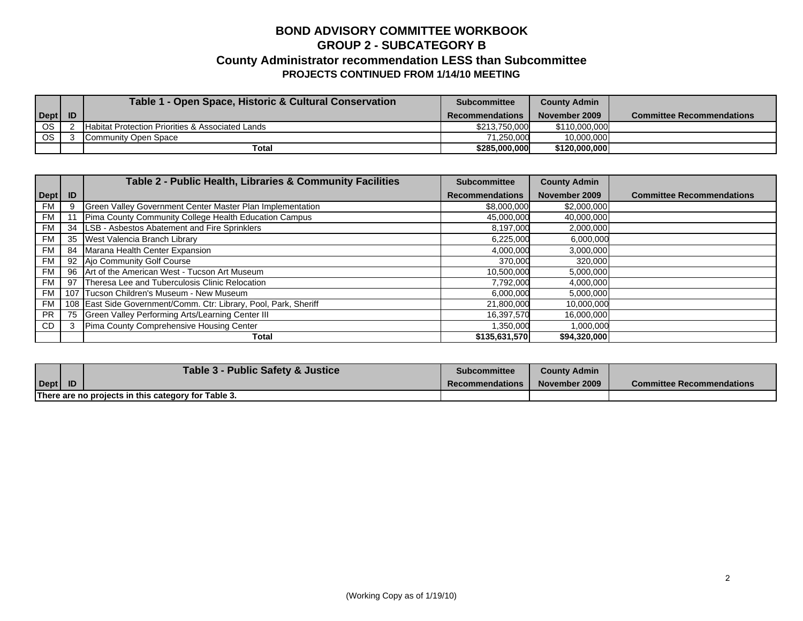#### **BOND ADVISORY COMMITTEE WORKBOOK GROUP 2 - SUBCATEGORY BCounty Administrator recommendation LESS than Subcommittee PROJECTS CONTINUED FROM 1/14/10 MEETING**

|      |     | Table 1 - Open Space, Historic & Cultural Conservation      | <b>Subcommittee</b>    | <b>County Admin</b> |                                  |
|------|-----|-------------------------------------------------------------|------------------------|---------------------|----------------------------------|
| Dept | -ID |                                                             | <b>Recommendations</b> | November 2009       | <b>Committee Recommendations</b> |
| OS.  |     | <b>Habitat Protection Priorities &amp; Associated Lands</b> | \$213,750,000          | \$110,000,000       |                                  |
| OS.  |     | Community Open Space                                        | 71.250.000             | 10.000.000          |                                  |
|      |     | Total                                                       | \$285,000,000          | \$120,000,000       |                                  |

|            |    | Table 2 - Public Health, Libraries & Community Facilities        | <b>Subcommittee</b>    | <b>County Admin</b> |                                  |
|------------|----|------------------------------------------------------------------|------------------------|---------------------|----------------------------------|
| $Depth$ ID |    |                                                                  | <b>Recommendations</b> | November 2009       | <b>Committee Recommendations</b> |
| <b>FM</b>  |    | Green Valley Government Center Master Plan Implementation        | \$8,000,000            | \$2,000,000         |                                  |
| <b>FM</b>  |    | Pima County Community College Health Education Campus            | 45,000,000             | 40,000,000          |                                  |
| <b>FM</b>  | 34 | <b>LSB - Asbestos Abatement and Fire Sprinklers</b>              | 8,197,000              | 2,000,000           |                                  |
| <b>FM</b>  |    | 35 West Valencia Branch Library                                  | 6,225,000              | 6,000,000           |                                  |
| <b>FM</b>  | 84 | Marana Health Center Expansion                                   | 4,000,000              | 3,000,000           |                                  |
| <b>FM</b>  |    | 92 Ajo Community Golf Course                                     | 370,000                | 320,000             |                                  |
| <b>FM</b>  |    | 96 Art of the American West - Tucson Art Museum                  | 10,500,000             | 5,000,000           |                                  |
| <b>FM</b>  | 97 | Theresa Lee and Tuberculosis Clinic Relocation                   | 7,792,000              | 4,000,000           |                                  |
| <b>FM</b>  |    | 107 Tucson Children's Museum - New Museum                        | 6,000,000              | 5,000,000           |                                  |
| <b>FM</b>  |    | 108 East Side Government/Comm. Ctr: Library, Pool, Park, Sheriff | 21,800,000             | 10,000,000          |                                  |
| <b>PR</b>  |    | 75 Green Valley Performing Arts/Learning Center III              | 16,397,570             | 16,000,000          |                                  |
| <b>CD</b>  |    | Pima County Comprehensive Housing Center                         | .350,000               | 1,000,000           |                                  |
|            |    | Total                                                            | \$135,631,570          | \$94,320,000        |                                  |

|           | Table 3 - Public Safety & Justice                   | <b>Subcommittee</b> | <b>County Admin</b> |                                  |
|-----------|-----------------------------------------------------|---------------------|---------------------|----------------------------------|
| Dept   ID |                                                     | Recommendations     | November 2009       | <b>Committee Recommendations</b> |
|           | There are no projects in this category for Table 3. |                     |                     |                                  |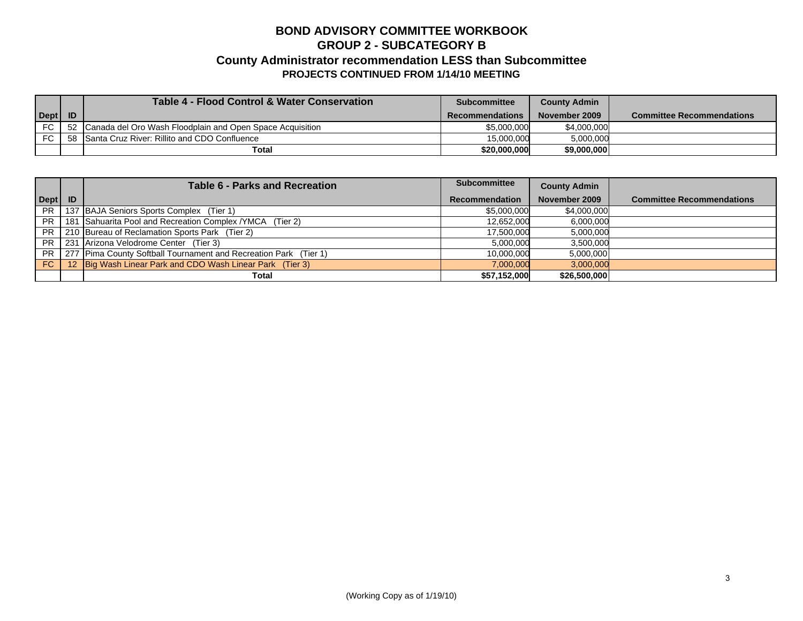#### **BOND ADVISORY COMMITTEE WORKBOOK GROUP 2 - SUBCATEGORY BCounty Administrator recommendation LESS than Subcommittee PROJECTS CONTINUED FROM 1/14/10 MEETING**

|           |     | Table 4 - Flood Control & Water Conservation              | <b>Subcommittee</b>    | <b>County Admin</b> |                                  |
|-----------|-----|-----------------------------------------------------------|------------------------|---------------------|----------------------------------|
| Dept      | -ID |                                                           | <b>Recommendations</b> | November 2009       | <b>Committee Recommendations</b> |
| <b>FC</b> | 52  | Canada del Oro Wash Floodplain and Open Space Acquisition | \$5,000,000            | \$4,000,000         |                                  |
| FC.       | 58  | Santa Cruz River: Rillito and CDO Confluence              | 15.000.000             | 5.000.000           |                                  |
|           |     | Total                                                     | \$20,000,000           | \$9,000,000         |                                  |

|           | <b>Table 6 - Parks and Recreation</b>                                   | <b>Subcommittee</b>   | <b>County Admin</b> |                                  |
|-----------|-------------------------------------------------------------------------|-----------------------|---------------------|----------------------------------|
| Dept   ID |                                                                         | <b>Recommendation</b> | November 2009       | <b>Committee Recommendations</b> |
| PR.       | 137 BAJA Seniors Sports Complex (Tier 1)                                | \$5,000,000           | \$4,000,000         |                                  |
| <b>PR</b> | 181 Sahuarita Pool and Recreation Complex / YMCA (Tier 2)               | 12,652,000            | 6,000,000           |                                  |
|           | PR 210 Bureau of Reclamation Sports Park (Tier 2)                       | 17.500.000            | 5,000,000           |                                  |
|           | PR   231 Arizona Velodrome Center (Tier 3)                              | 5,000,000             | 3,500,000           |                                  |
|           | PR   277   Pima County Softball Tournament and Recreation Park (Tier 1) | 10,000,000            | 5,000,000           |                                  |
| FC        | 12 Big Wash Linear Park and CDO Wash Linear Park (Tier 3)               | 7,000,000             | 3,000,000           |                                  |
|           | Total                                                                   | \$57,152,000          | \$26,500,000        |                                  |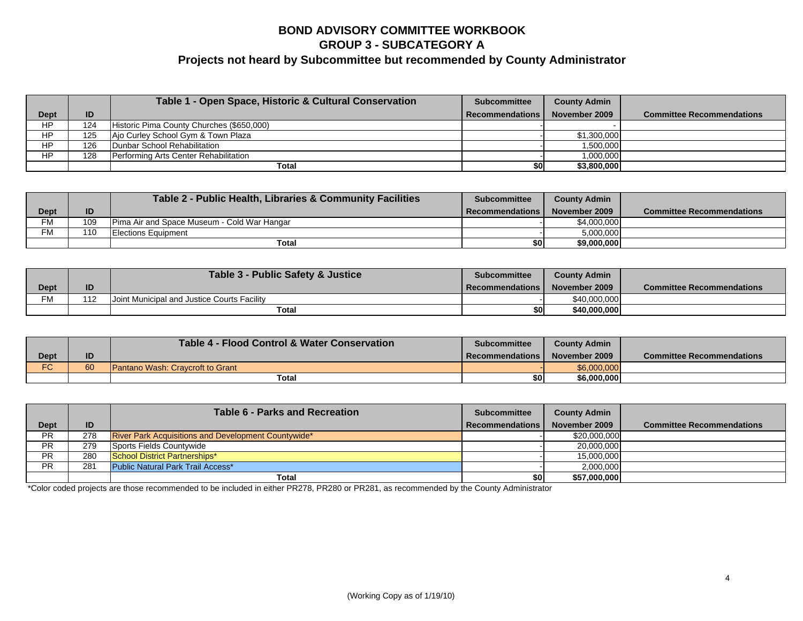#### **BOND ADVISORY COMMITTEE WORKBOOKGROUP 3 - SUBCATEGORY A Projects not heard by Subcommittee but recommended by County Administrator**

|             |     | Table 1 - Open Space, Historic & Cultural Conservation | <b>Subcommittee</b> | <b>County Admin</b> |                                  |
|-------------|-----|--------------------------------------------------------|---------------------|---------------------|----------------------------------|
| <b>Dept</b> | ID. |                                                        | Recommendations     | November 2009       | <b>Committee Recommendations</b> |
| ΗP          | 124 | Historic Pima County Churches (\$650,000)              |                     |                     |                                  |
| ΗP          | 125 | Ajo Curley School Gym & Town Plaza                     |                     | \$1,300,000         |                                  |
| HP          | 126 | Dunbar School Rehabilitation                           |                     | 1,500,000           |                                  |
| НP          | 128 | Performing Arts Center Rehabilitation                  |                     | 1,000,000           |                                  |
|             |     | Total                                                  | \$OI                | \$3,800,000         |                                  |

|      |     | Table 2 - Public Health. Libraries & Community Facilities | Subcommittee      | <b>County Admin</b> |                                  |
|------|-----|-----------------------------------------------------------|-------------------|---------------------|----------------------------------|
| Dept | ID  |                                                           | Recommendations I | November 2009       | <b>Committee Recommendations</b> |
| FM   | 109 | Pima Air and Space Museum - Cold War Hangar               |                   | \$4,000,000         |                                  |
| FM   | 110 | <b>Elections Equipment</b>                                |                   | 5.000.000           |                                  |
|      |     | Total                                                     | \$0               | \$9,000,000         |                                  |

|           |     | Table 3 - Public Safety & Justice           | <b>Subcommittee</b>    | <b>County Admin</b> |                                  |
|-----------|-----|---------------------------------------------|------------------------|---------------------|----------------------------------|
| Dept      | ID  |                                             | <b>Recommendations</b> | November 2009       | <b>Committee Recommendations</b> |
| <b>FM</b> | 112 | Joint Municipal and Justice Courts Facility |                        | \$40,000,000        |                                  |
|           |     | Total                                       | \$0                    | \$40,000,000        |                                  |

|             |    | <b>Table 4 - Flood Control &amp; Water Conservation</b> | <b>Subcommittee</b> | <b>County Admin</b> |                                  |
|-------------|----|---------------------------------------------------------|---------------------|---------------------|----------------------------------|
| <b>Dept</b> | ID |                                                         | Recommendations     | November 2009       | <b>Committee Recommendations</b> |
| <b>FC</b>   | 60 | <b>Pantano Wash: Cravcroft to Grant</b>                 |                     | \$6,000,000         |                                  |
|             |    | Total                                                   | \$0                 | \$6,000,000         |                                  |

|             |     | Table 6 - Parks and Recreation                      | <b>Subcommittee</b> | <b>County Admin</b> |                                  |
|-------------|-----|-----------------------------------------------------|---------------------|---------------------|----------------------------------|
| <b>Dept</b> | ID  |                                                     | Recommendations     | November 2009       | <b>Committee Recommendations</b> |
| <b>PR</b>   | 278 | River Park Acquisitions and Development Countywide* |                     | \$20,000,000        |                                  |
| <b>PR</b>   | 279 | Sports Fields Countywide                            |                     | 20,000,000          |                                  |
| PR          | 280 | School District Partnerships*                       |                     | 15,000,000          |                                  |
| PR          | 281 | Public Natural Park Trail Access*                   |                     | 2,000,000           |                                  |
|             |     | Total                                               | \$0                 | \$57,000,000        |                                  |

\*Color coded projects are those recommended to be included in either PR278, PR280 or PR281, as recommended by the County Administrator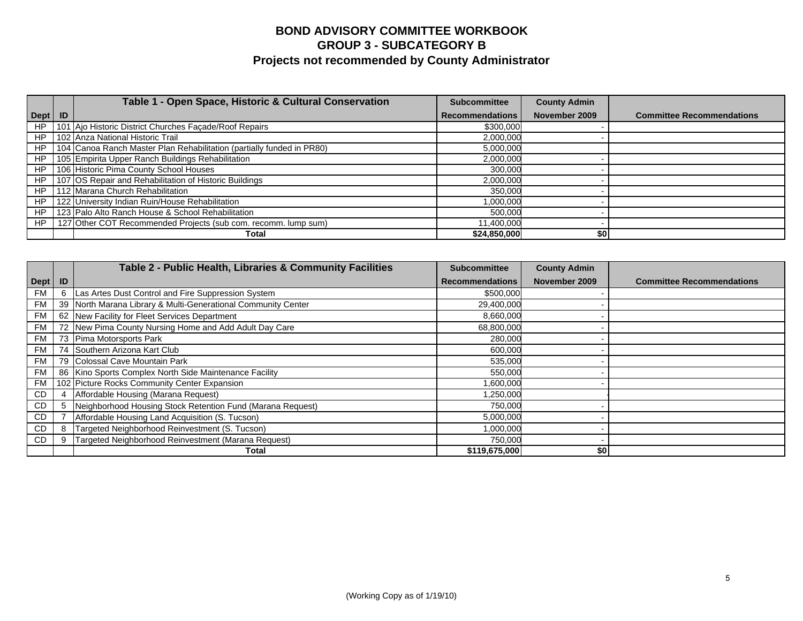#### **BOND ADVISORY COMMITTEE WORKBOOK GROUP 3 - SUBCATEGORY BProjects not recommended by County Administrator**

|           | Table 1 - Open Space, Historic & Cultural Conservation                | <b>Subcommittee</b>    | <b>County Admin</b> |                                  |
|-----------|-----------------------------------------------------------------------|------------------------|---------------------|----------------------------------|
| Dept   ID |                                                                       | <b>Recommendations</b> | November 2009       | <b>Committee Recommendations</b> |
| HP        | 101 Ajo Historic District Churches Façade/Roof Repairs                | \$300,000              |                     |                                  |
| HP        | 102 Anza National Historic Trail                                      | 2,000,000              |                     |                                  |
| HP        | 104 Canoa Ranch Master Plan Rehabilitation (partially funded in PR80) | 5,000,000              |                     |                                  |
| HP        | 105 Empirita Upper Ranch Buildings Rehabilitation                     | 2,000,000              |                     |                                  |
| <b>HP</b> | 106 Historic Pima County School Houses                                | 300,000                |                     |                                  |
| HP        | 107 OS Repair and Rehabilitation of Historic Buildings                | 2,000,000              |                     |                                  |
| HP        | 112 Marana Church Rehabilitation                                      | 350,000                |                     |                                  |
| HP        | 122 University Indian Ruin/House Rehabilitation                       | 1,000,000              |                     |                                  |
| HP        | 123 Palo Alto Ranch House & School Rehabilitation                     | 500,000                |                     |                                  |
| HP        | 127 Other COT Recommended Projects (sub com. recomm. lump sum)        | 11,400,000             |                     |                                  |
|           | Total                                                                 | \$24,850,000           | \$0                 |                                  |

|           |   | Table 2 - Public Health, Libraries & Community Facilities     | <b>Subcommittee</b>    | <b>County Admin</b> |                                  |
|-----------|---|---------------------------------------------------------------|------------------------|---------------------|----------------------------------|
| Dept   ID |   |                                                               | <b>Recommendations</b> | November 2009       | <b>Committee Recommendations</b> |
| <b>FM</b> | 6 | Las Artes Dust Control and Fire Suppression System            | \$500,000              |                     |                                  |
| <b>FM</b> |   | 39 North Marana Library & Multi-Generational Community Center | 29,400,000             |                     |                                  |
| <b>FM</b> |   | 62 New Facility for Fleet Services Department                 | 8,660,000              |                     |                                  |
| <b>FM</b> |   | 72 New Pima County Nursing Home and Add Adult Day Care        | 68,800,000             |                     |                                  |
| <b>FM</b> |   | 73 Pima Motorsports Park                                      | 280,000                |                     |                                  |
| <b>FM</b> |   | 74 Southern Arizona Kart Club                                 | 600,000                |                     |                                  |
| <b>FM</b> |   | 79 Colossal Cave Mountain Park                                | 535,000                |                     |                                  |
| <b>FM</b> |   | 86 Kino Sports Complex North Side Maintenance Facility        | 550,000                |                     |                                  |
| <b>FM</b> |   | 102 Picture Rocks Community Center Expansion                  | 1,600,000              |                     |                                  |
| <b>CD</b> |   | Affordable Housing (Marana Request)                           | 1,250,000              |                     |                                  |
| CD        | 5 | Neighborhood Housing Stock Retention Fund (Marana Request)    | 750,000                |                     |                                  |
| CD        |   | Affordable Housing Land Acquisition (S. Tucson)               | 5,000,000              |                     |                                  |
| CD        | 8 | Targeted Neighborhood Reinvestment (S. Tucson)                | 1,000,000              |                     |                                  |
| <b>CD</b> | 9 | Targeted Neighborhood Reinvestment (Marana Request)           | 750,000                |                     |                                  |
|           |   | Total                                                         | \$119,675,000          | \$0                 |                                  |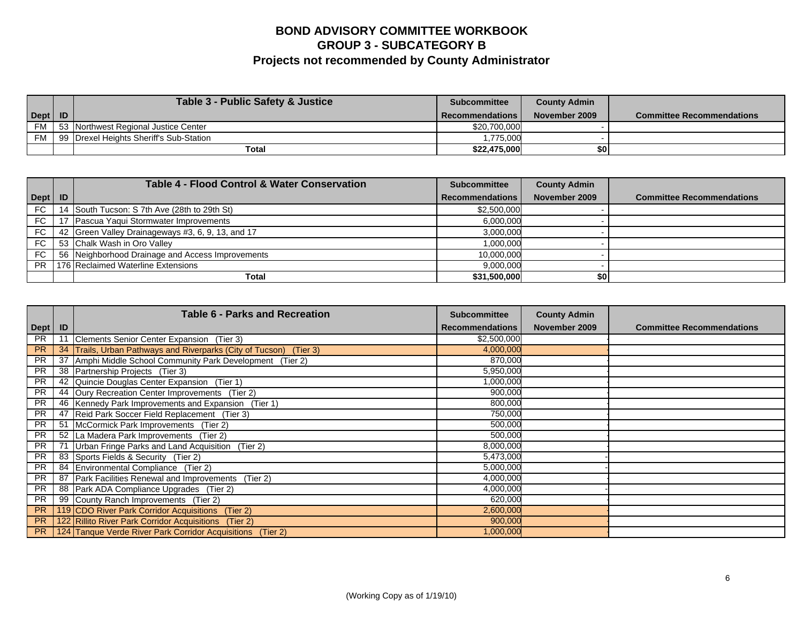#### **BOND ADVISORY COMMITTEE WORKBOOK GROUP 3 - SUBCATEGORY BProjects not recommended by County Administrator**

|           | Table 3 - Public Safety & Justice       | <b>Subcommittee</b>      | <b>County Admin</b> |                                  |
|-----------|-----------------------------------------|--------------------------|---------------------|----------------------------------|
| Dept   ID |                                         | <b>I</b> Recommendations | November 2009       | <b>Committee Recommendations</b> |
| FM        | 53 Northwest Regional Justice Center    | \$20,700,000             |                     |                                  |
| FM        | 99 Drexel Heights Sheriff's Sub-Station | .775.000                 |                     |                                  |
|           | Total                                   | \$22,475,000             | \$O                 |                                  |

|                   | Table 4 - Flood Control & Water Conservation      | <b>Subcommittee</b>    | <b>County Admin</b> |                                  |
|-------------------|---------------------------------------------------|------------------------|---------------------|----------------------------------|
| $\text{Depth}$ ID |                                                   | <b>Recommendations</b> | November 2009       | <b>Committee Recommendations</b> |
| FC                | 14 South Tucson: S 7th Ave (28th to 29th St)      | \$2,500,000            |                     |                                  |
| FC                | Pascua Yaqui Stormwater Improvements              | 6,000,000              |                     |                                  |
| FC                | 42 Green Valley Drainageways #3, 6, 9, 13, and 17 | 3,000,000              |                     |                                  |
| <b>FC</b>         | 53 Chalk Wash in Oro Valley                       | 1,000,000              |                     |                                  |
| <b>FC</b>         | 56 Neighborhood Drainage and Access Improvements  | 10,000,000             |                     |                                  |
| <b>PR</b>         | 176 Reclaimed Waterline Extensions                | 9,000,000              |                     |                                  |
|                   | <b>Total</b>                                      | \$31,500,000           | \$0                 |                                  |

|           |    | <b>Table 6 - Parks and Recreation</b>                           | <b>Subcommittee</b>    | <b>County Admin</b> |                                  |
|-----------|----|-----------------------------------------------------------------|------------------------|---------------------|----------------------------------|
| Dept ID   |    |                                                                 | <b>Recommendations</b> | November 2009       | <b>Committee Recommendations</b> |
| <b>PR</b> |    | Clements Senior Center Expansion (Tier 3)                       | \$2,500,000            |                     |                                  |
| <b>PR</b> | 34 | Trails, Urban Pathways and Riverparks (City of Tucson) (Tier 3) | 4,000,000              |                     |                                  |
| <b>PR</b> |    | 37 Amphi Middle School Community Park Development (Tier 2)      | 870,000                |                     |                                  |
| <b>PR</b> |    | 38 Partnership Projects (Tier 3)                                | 5,950,000              |                     |                                  |
| <b>PR</b> |    | 42 Quincie Douglas Center Expansion (Tier 1)                    | 1,000,000              |                     |                                  |
| <b>PR</b> |    | 44 Oury Recreation Center Improvements (Tier 2)                 | 900,000                |                     |                                  |
| <b>PR</b> |    | 46 Kennedy Park Improvements and Expansion (Tier 1)             | 800,000                |                     |                                  |
| <b>PR</b> |    | 47 Reid Park Soccer Field Replacement (Tier 3)                  | 750,000                |                     |                                  |
| <b>PR</b> | 51 | McCormick Park Improvements (Tier 2)                            | 500,000                |                     |                                  |
| <b>PR</b> |    | 52 La Madera Park Improvements (Tier 2)                         | 500,000                |                     |                                  |
| <b>PR</b> |    | Urban Fringe Parks and Land Acquisition (Tier 2)                | 8,000,000              |                     |                                  |
| <b>PR</b> |    | 83 Sports Fields & Security (Tier 2)                            | 5,473,000              |                     |                                  |
| <b>PR</b> |    | 84 Environmental Compliance (Tier 2)                            | 5,000,000              |                     |                                  |
| <b>PR</b> |    | 87 Park Facilities Renewal and Improvements (Tier 2)            | 4,000,000              |                     |                                  |
| <b>PR</b> |    | 88 Park ADA Compliance Upgrades (Tier 2)                        | 4,000,000              |                     |                                  |
| <b>PR</b> |    | 99 County Ranch Improvements (Tier 2)                           | 620,000                |                     |                                  |
| <b>PR</b> |    | 119 CDO River Park Corridor Acquisitions (Tier 2)               | 2,600,000              |                     |                                  |
| <b>PR</b> |    | 122 Rillito River Park Corridor Acquisitions (Tier 2)           | 900,000                |                     |                                  |
| <b>PR</b> |    | 124 Tanque Verde River Park Corridor Acquisitions (Tier 2)      | 1,000,000              |                     |                                  |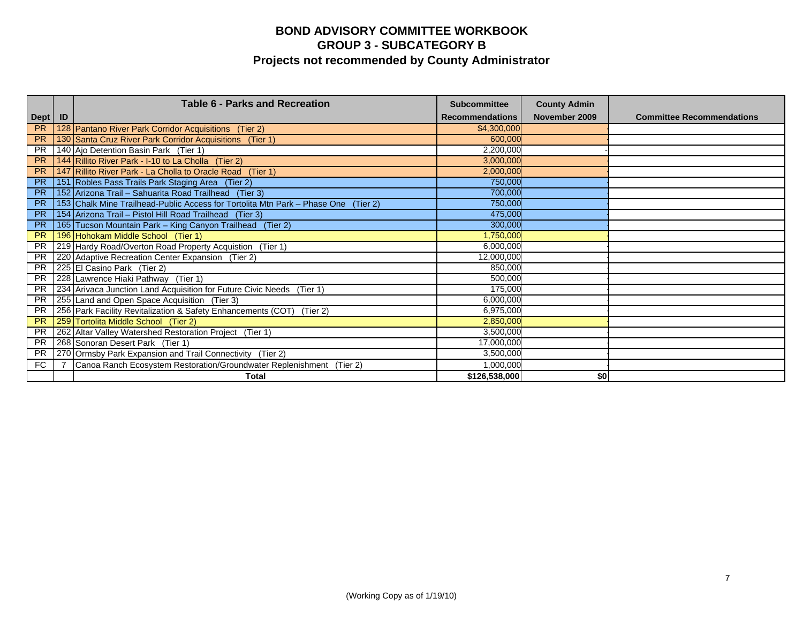#### **BOND ADVISORY COMMITTEE WORKBOOK GROUP 3 - SUBCATEGORY BProjects not recommended by County Administrator**

|              | <b>Table 6 - Parks and Recreation</b>                                              | <b>Subcommittee</b>    | <b>County Admin</b> |                                  |
|--------------|------------------------------------------------------------------------------------|------------------------|---------------------|----------------------------------|
| $Depth$ $ID$ |                                                                                    | <b>Recommendations</b> | November 2009       | <b>Committee Recommendations</b> |
| <b>PR</b>    | 128 Pantano River Park Corridor Acquisitions (Tier 2)                              | \$4,300,000            |                     |                                  |
| <b>PR</b>    | 130 Santa Cruz River Park Corridor Acquisitions (Tier 1)                           | 600,000                |                     |                                  |
| <b>PR</b>    | 140 Ajo Detention Basin Park (Tier 1)                                              | 2,200,000              |                     |                                  |
| <b>PR</b>    | 144 Rillito River Park - I-10 to La Cholla (Tier 2)                                | 3,000,000              |                     |                                  |
| <b>PR</b>    | 147 Rillito River Park - La Cholla to Oracle Road (Tier 1)                         | 2,000,000              |                     |                                  |
| <b>PR</b>    | 151 Robles Pass Trails Park Staging Area (Tier 2)                                  | 750,000                |                     |                                  |
| <b>PR</b>    | 152 Arizona Trail - Sahuarita Road Trailhead (Tier 3)                              | 700,000                |                     |                                  |
| <b>PR</b>    | 153 Chalk Mine Trailhead-Public Access for Tortolita Mtn Park - Phase One (Tier 2) | 750,000                |                     |                                  |
| <b>PR</b>    | 154 Arizona Trail - Pistol Hill Road Trailhead (Tier 3)                            | 475,000                |                     |                                  |
| <b>PR</b>    | 165 Tucson Mountain Park - King Canyon Trailhead (Tier 2)                          | 300,000                |                     |                                  |
| <b>PR</b>    | 196 Hohokam Middle School (Tier 1)                                                 | 1,750,000              |                     |                                  |
| <b>PR</b>    | 219 Hardy Road/Overton Road Property Acquistion (Tier 1)                           | 6,000,000              |                     |                                  |
| <b>PR</b>    | 220 Adaptive Recreation Center Expansion (Tier 2)                                  | 12,000,000             |                     |                                  |
| PR           | 225 El Casino Park (Tier 2)                                                        | 850,000                |                     |                                  |
| <b>PR</b>    | 228 Lawrence Hiaki Pathway (Tier 1)                                                | 500,000                |                     |                                  |
| <b>PR</b>    | 234 Arivaca Junction Land Acquisition for Future Civic Needs (Tier 1)              | 175,000                |                     |                                  |
| <b>PR</b>    | 255 Land and Open Space Acquisition (Tier 3)                                       | 6,000,000              |                     |                                  |
| PR           | 256 Park Facility Revitalization & Safety Enhancements (COT) (Tier 2)              | 6,975,000              |                     |                                  |
| <b>PR</b>    | 259 Tortolita Middle School (Tier 2)                                               | 2,850,000              |                     |                                  |
| <b>PR</b>    | 262 Altar Valley Watershed Restoration Project (Tier 1)                            | 3,500,000              |                     |                                  |
| <b>PR</b>    | 268 Sonoran Desert Park (Tier 1)                                                   | 17,000,000             |                     |                                  |
| <b>PR</b>    | 270 Ormsby Park Expansion and Trail Connectivity (Tier 2)                          | 3,500,000              |                     |                                  |
| <b>FC</b>    | Canoa Ranch Ecosystem Restoration/Groundwater Replenishment (Tier 2)               | 1,000,000              |                     |                                  |
|              | <b>Total</b>                                                                       | \$126,538,000          | \$0                 |                                  |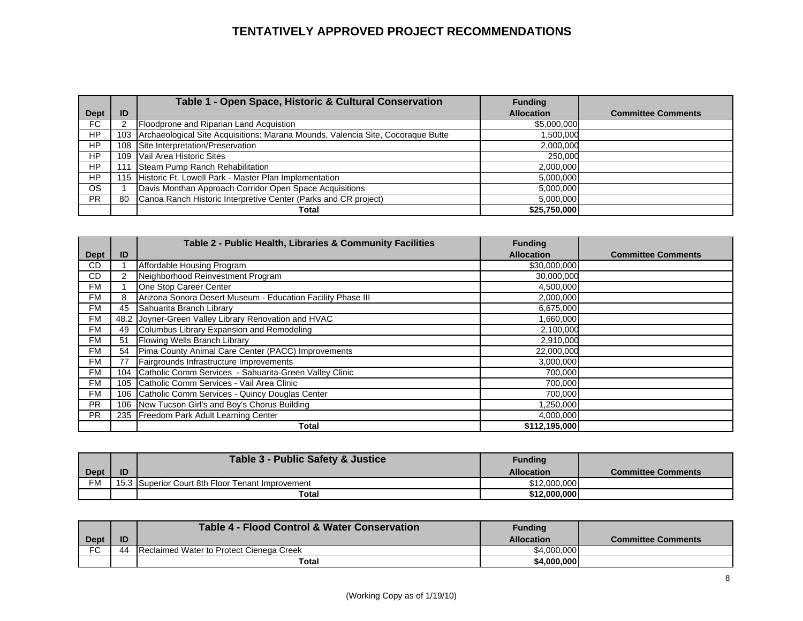#### **TENTATIVELY APPROVED PROJECT RECOMMENDATIONS**

|           |     | Table 1 - Open Space, Historic & Cultural Conservation                              | <b>Funding</b>    |                           |
|-----------|-----|-------------------------------------------------------------------------------------|-------------------|---------------------------|
| Dept      | ID  |                                                                                     | <b>Allocation</b> | <b>Committee Comments</b> |
| FC        |     | Floodprone and Riparian Land Acquistion                                             | \$5,000,000       |                           |
| HP        |     | 103 Archaeological Site Acquisitions: Marana Mounds, Valencia Site, Cocoraque Butte | 500,000,          |                           |
| <b>HP</b> |     | 108 Site Interpretation/Preservation                                                | 2,000,000         |                           |
| HP        |     | 109 Vail Area Historic Sites                                                        | 250,000           |                           |
| HP        | 111 | Steam Pump Ranch Rehabilitation                                                     | 2,000,000         |                           |
| HP        |     | 115 Historic Ft. Lowell Park - Master Plan Implementation                           | 5,000,000         |                           |
| OS.       |     | Davis Monthan Approach Corridor Open Space Acquisitions                             | 5,000,000         |                           |
| PR.       | 80  | Canoa Ranch Historic Interpretive Center (Parks and CR project)                     | 5.000.000         |                           |
|           |     | Total                                                                               | \$25,750,000      |                           |

|             |     | Table 2 - Public Health, Libraries & Community Facilities   | <b>Funding</b>    |                           |
|-------------|-----|-------------------------------------------------------------|-------------------|---------------------------|
| <b>Dept</b> | ID  |                                                             | <b>Allocation</b> | <b>Committee Comments</b> |
| CD          |     | Affordable Housing Program                                  | \$30,000,000      |                           |
| CD          |     | Neighborhood Reinvestment Program                           | 30,000,000        |                           |
| <b>FM</b>   |     | One Stop Career Center                                      | 4,500,000         |                           |
| <b>FM</b>   | 8   | Arizona Sonora Desert Museum - Education Facility Phase III | 2,000,000         |                           |
| <b>FM</b>   | 45  | Sahuarita Branch Library                                    | 6,675,000         |                           |
| <b>FM</b>   |     | 48.2 Joyner-Green Valley Library Renovation and HVAC        | 1,660,000         |                           |
| <b>FM</b>   | 49  | Columbus Library Expansion and Remodeling                   | 2,100,000         |                           |
| <b>FM</b>   | 51  | Flowing Wells Branch Library                                | 2,910,000         |                           |
| <b>FM</b>   | 54  | Pima County Animal Care Center (PACC) Improvements          | 22,000,000        |                           |
| <b>FM</b>   | 77  | Fairgrounds Infrastructure Improvements                     | 3,000,000         |                           |
| <b>FM</b>   |     | 104 Catholic Comm Services - Sahuarita-Green Valley Clinic  | 700,000           |                           |
| <b>FM</b>   |     | 105 Catholic Comm Services - Vail Area Clinic               | 700,000           |                           |
| <b>FM</b>   | 106 | Catholic Comm Services - Quincy Douglas Center              | 700,000           |                           |
| <b>PR</b>   |     | 106 New Tucson Girl's and Boy's Chorus Building             | 1,250,000         |                           |
| PR          |     | 235 Freedom Park Adult Learning Center                      | 4,000,000         |                           |
|             |     | Total                                                       | \$112,195,000     |                           |

|             |    | Table 3 - Public Safety & Justice                | <b>Funding</b>    |                           |
|-------------|----|--------------------------------------------------|-------------------|---------------------------|
| <b>Dept</b> | ID |                                                  | <b>Allocation</b> | <b>Committee Comments</b> |
| <b>FM</b>   |    | 15.3 Superior Court 8th Floor Tenant Improvement | \$12,000,000      |                           |
|             |    | Total                                            | \$12,000,000      |                           |

|           |    | Table 4 - Flood Control & Water Conservation | <b>Funding</b>    |                           |
|-----------|----|----------------------------------------------|-------------------|---------------------------|
| Dept      |    |                                              | <b>Allocation</b> | <b>Committee Comments</b> |
| <b>FC</b> | 44 | Reclaimed Water to Protect Cienega Creek     | \$4.000.000       |                           |
|           |    | Total                                        | \$4.000.000       |                           |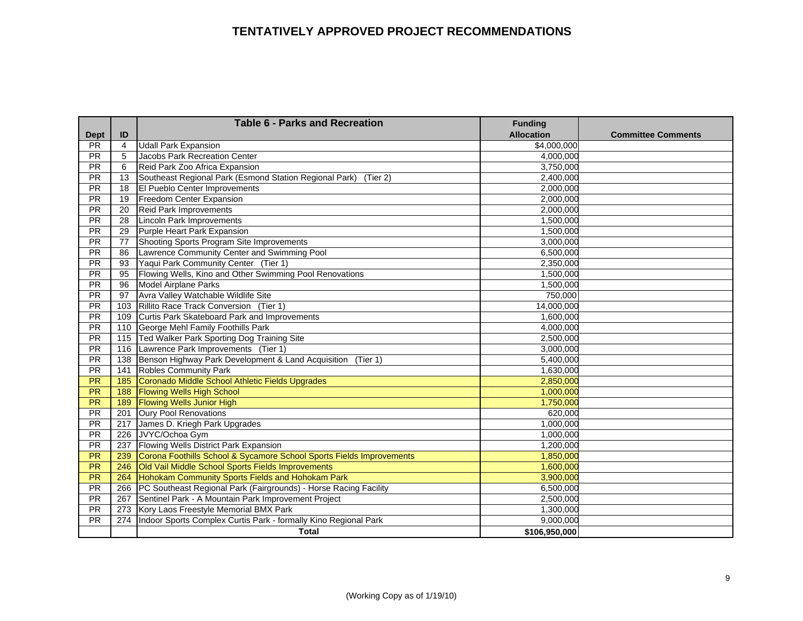#### **TENTATIVELY APPROVED PROJECT RECOMMENDATIONS**

|                 |                | <b>Table 6 - Parks and Recreation</b>                                | <b>Funding</b>    |                           |
|-----------------|----------------|----------------------------------------------------------------------|-------------------|---------------------------|
| <b>Dept</b>     | ID             |                                                                      | <b>Allocation</b> | <b>Committee Comments</b> |
| <b>PR</b>       | $\overline{4}$ | <b>Udall Park Expansion</b>                                          | \$4,000,000       |                           |
| <b>PR</b>       | 5              | Jacobs Park Recreation Center                                        | 4,000,000         |                           |
| $\overline{PR}$ | 6              | Reid Park Zoo Africa Expansion                                       | 3,750,000         |                           |
| $\overline{PR}$ | 13             | Southeast Regional Park (Esmond Station Regional Park)<br>(Tier 2)   | 2,400,000         |                           |
| PR              | 18             | El Pueblo Center Improvements                                        | 2,000,000         |                           |
| <b>PR</b>       | 19             | <b>Freedom Center Expansion</b>                                      | 2,000,000         |                           |
| PR              | 20             | Reid Park Improvements                                               | 2,000,000         |                           |
| <b>PR</b>       | 28             | <b>Lincoln Park Improvements</b>                                     | 1,500,000         |                           |
| PR              | 29             | Purple Heart Park Expansion                                          | 1,500,000         |                           |
| PR              | 77             | Shooting Sports Program Site Improvements                            | 3,000,000         |                           |
| <b>PR</b>       | 86             | Lawrence Community Center and Swimming Pool                          | 6,500,000         |                           |
| <b>PR</b>       | 93             | Yaqui Park Community Center (Tier 1)                                 | 2,350,000         |                           |
| <b>PR</b>       | 95             | Flowing Wells, Kino and Other Swimming Pool Renovations              | 1,500,000         |                           |
| <b>PR</b>       | 96             | <b>Model Airplane Parks</b>                                          | 1,500,000         |                           |
| <b>PR</b>       | 97             | Avra Valley Watchable Wildlife Site                                  | 750,000           |                           |
| PR              | 103            | Rillito Race Track Conversion (Tier 1)                               | 14,000,000        |                           |
| <b>PR</b>       | 109            | Curtis Park Skateboard Park and Improvements                         | 1,600,000         |                           |
| <b>PR</b>       | 110            | George Mehl Family Foothills Park                                    | 4,000,000         |                           |
| <b>PR</b>       | 115            | Ted Walker Park Sporting Dog Training Site                           | 2,500,000         |                           |
| PR              | 116            | Lawrence Park Improvements (Tier 1)                                  | 3,000,000         |                           |
| $\overline{PR}$ | 138            | Benson Highway Park Development & Land Acquisition (Tier 1)          | 5,400,000         |                           |
| PR              | 141            | <b>Robles Community Park</b>                                         | 1,630,000         |                           |
| PR              | 185            | Coronado Middle School Athletic Fields Upgrades                      | 2,850,000         |                           |
| <b>PR</b>       | 188            | <b>Flowing Wells High School</b>                                     | 1,000,000         |                           |
| <b>PR</b>       | 189            | <b>Flowing Wells Junior High</b>                                     | 1,750,000         |                           |
| $\overline{PR}$ | 201            | <b>Oury Pool Renovations</b>                                         | 620,000           |                           |
| <b>PR</b>       | 217            | James D. Kriegh Park Upgrades                                        | 1,000,000         |                           |
| PR              | 226            | JVYC/Ochoa Gym                                                       | 1,000,000         |                           |
| PR              | 237            | Flowing Wells District Park Expansion                                | 1,200,000         |                           |
| PR              | 239            | Corona Foothills School & Sycamore School Sports Fields Improvements | 1,850,000         |                           |
| PR              | 246            | Old Vail Middle School Sports Fields Improvements                    | 1,600,000         |                           |
| <b>PR</b>       | 264            | Hohokam Community Sports Fields and Hohokam Park                     | 3,900,000         |                           |
| <b>PR</b>       | 266            | PC Southeast Regional Park (Fairgrounds) - Horse Racing Facility     | 6,500,000         |                           |
| PR              | 267            | Sentinel Park - A Mountain Park Improvement Project                  | 2,500,000         |                           |
| PR              | 273            | Kory Laos Freestyle Memorial BMX Park                                | 1,300,000         |                           |
| <b>PR</b>       | 274            | Indoor Sports Complex Curtis Park - formally Kino Regional Park      | 9,000,000         |                           |
|                 |                | <b>Total</b>                                                         | \$106,950,000     |                           |
|                 |                |                                                                      |                   |                           |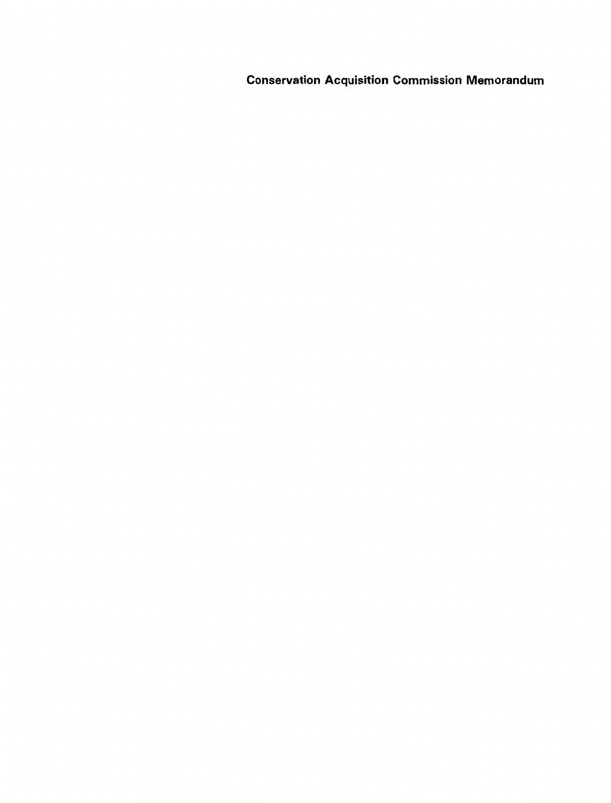**Conservation Acquisition Commission Memorandum**